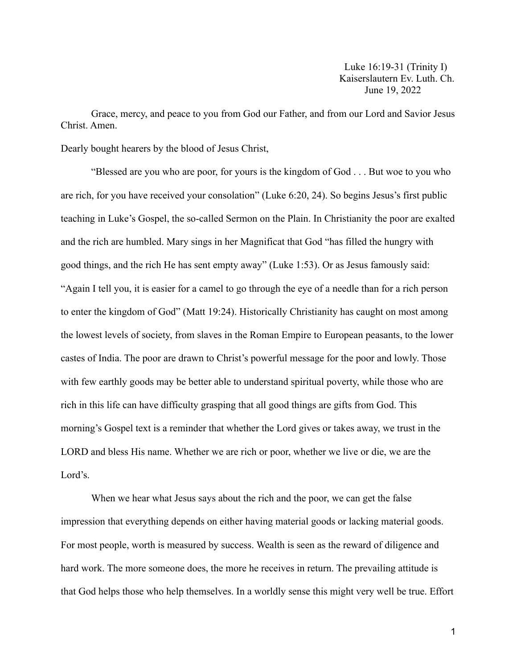Luke 16:19-31 (Trinity I) Kaiserslautern Ev. Luth. Ch. June 19, 2022

Grace, mercy, and peace to you from God our Father, and from our Lord and Savior Jesus Christ. Amen.

Dearly bought hearers by the blood of Jesus Christ,

"Blessed are you who are poor, for yours is the kingdom of God . . . But woe to you who are rich, for you have received your consolation" (Luke 6:20, 24). So begins Jesus's first public teaching in Luke's Gospel, the so-called Sermon on the Plain. In Christianity the poor are exalted and the rich are humbled. Mary sings in her Magnificat that God "has filled the hungry with good things, and the rich He has sent empty away" (Luke 1:53). Or as Jesus famously said: "Again I tell you, it is easier for a camel to go through the eye of a needle than for a rich person to enter the kingdom of God" (Matt 19:24). Historically Christianity has caught on most among the lowest levels of society, from slaves in the Roman Empire to European peasants, to the lower castes of India. The poor are drawn to Christ's powerful message for the poor and lowly. Those with few earthly goods may be better able to understand spiritual poverty, while those who are rich in this life can have difficulty grasping that all good things are gifts from God. This morning's Gospel text is a reminder that whether the Lord gives or takes away, we trust in the LORD and bless His name. Whether we are rich or poor, whether we live or die, we are the Lord's.

When we hear what Jesus says about the rich and the poor, we can get the false impression that everything depends on either having material goods or lacking material goods. For most people, worth is measured by success. Wealth is seen as the reward of diligence and hard work. The more someone does, the more he receives in return. The prevailing attitude is that God helps those who help themselves. In a worldly sense this might very well be true. Effort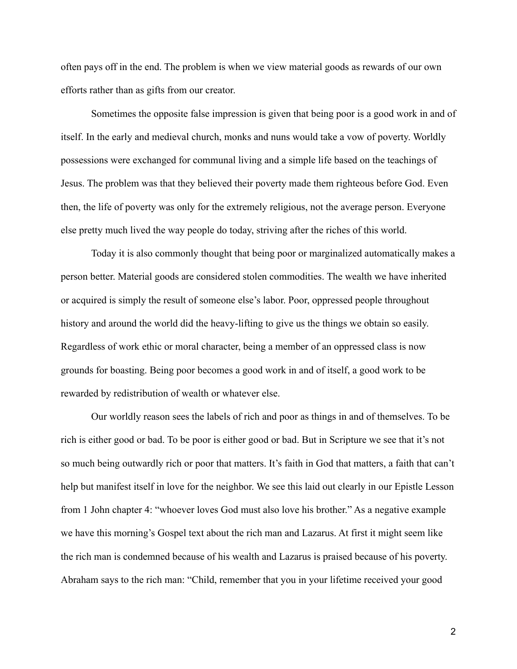often pays off in the end. The problem is when we view material goods as rewards of our own efforts rather than as gifts from our creator.

Sometimes the opposite false impression is given that being poor is a good work in and of itself. In the early and medieval church, monks and nuns would take a vow of poverty. Worldly possessions were exchanged for communal living and a simple life based on the teachings of Jesus. The problem was that they believed their poverty made them righteous before God. Even then, the life of poverty was only for the extremely religious, not the average person. Everyone else pretty much lived the way people do today, striving after the riches of this world.

Today it is also commonly thought that being poor or marginalized automatically makes a person better. Material goods are considered stolen commodities. The wealth we have inherited or acquired is simply the result of someone else's labor. Poor, oppressed people throughout history and around the world did the heavy-lifting to give us the things we obtain so easily. Regardless of work ethic or moral character, being a member of an oppressed class is now grounds for boasting. Being poor becomes a good work in and of itself, a good work to be rewarded by redistribution of wealth or whatever else.

Our worldly reason sees the labels of rich and poor as things in and of themselves. To be rich is either good or bad. To be poor is either good or bad. But in Scripture we see that it's not so much being outwardly rich or poor that matters. It's faith in God that matters, a faith that can't help but manifest itself in love for the neighbor. We see this laid out clearly in our Epistle Lesson from 1 John chapter 4: "whoever loves God must also love his brother." As a negative example we have this morning's Gospel text about the rich man and Lazarus. At first it might seem like the rich man is condemned because of his wealth and Lazarus is praised because of his poverty. Abraham says to the rich man: "Child, remember that you in your lifetime received your good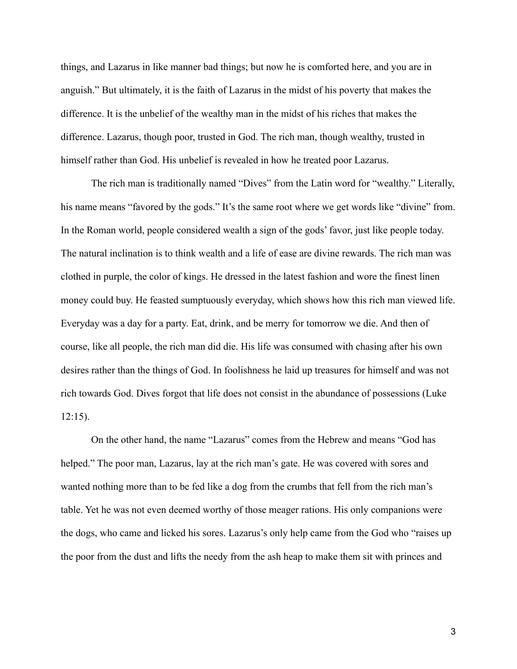things, and Lazarus in like manner bad things; but now he is comforted here, and you are in anguish." But ultimately, it is the faith of Lazarus in the midst of his poverty that makes the difference. It is the unbelief of the wealthy man in the midst of his riches that makes the difference. Lazarus, though poor, trusted in God. The rich man, though wealthy, trusted in himself rather than God. His unbelief is revealed in how he treated poor Lazarus.

The rich man is traditionally named "Dives" from the Latin word for "wealthy." Literally, his name means "favored by the gods." It's the same root where we get words like "divine" from. In the Roman world, people considered wealth a sign of the gods' favor, just like people today. The natural inclination is to think wealth and a life of ease are divine rewards. The rich man was clothed in purple, the color of kings. He dressed in the latest fashion and wore the finest linen money could buy. He feasted sumptuously everyday, which shows how this rich man viewed life. Everyday was a day for a party. Eat, drink, and be merry for tomorrow we die. And then of course, like all people, the rich man did die. His life was consumed with chasing after his own desires rather than the things of God. In foolishness he laid up treasures for himself and was not rich towards God. Dives forgot that life does not consist in the abundance of possessions (Luke 12:15).

On the other hand, the name "Lazarus" comes from the Hebrew and means "God has helped." The poor man, Lazarus, lay at the rich man's gate. He was covered with sores and wanted nothing more than to be fed like a dog from the crumbs that fell from the rich man's table. Yet he was not even deemed worthy of those meager rations. His only companions were the dogs, who came and licked his sores. Lazarus's only help came from the God who "raises up the poor from the dust and lifts the needy from the ash heap to make them sit with princes and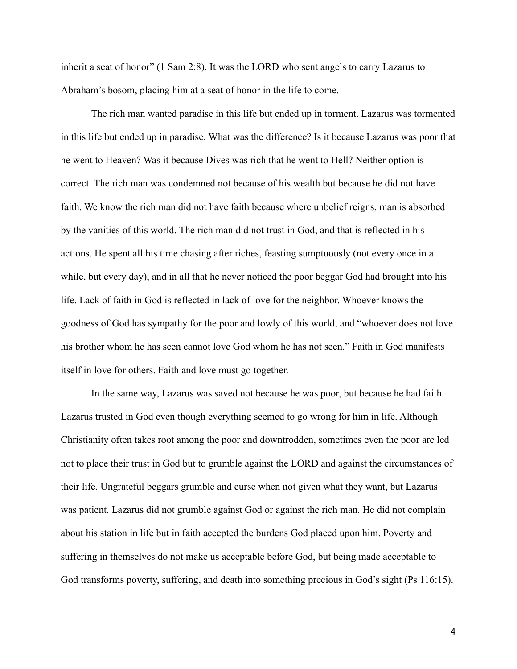inherit a seat of honor" (1 Sam 2:8). It was the LORD who sent angels to carry Lazarus to Abraham's bosom, placing him at a seat of honor in the life to come.

The rich man wanted paradise in this life but ended up in torment. Lazarus was tormented in this life but ended up in paradise. What was the difference? Is it because Lazarus was poor that he went to Heaven? Was it because Dives was rich that he went to Hell? Neither option is correct. The rich man was condemned not because of his wealth but because he did not have faith. We know the rich man did not have faith because where unbelief reigns, man is absorbed by the vanities of this world. The rich man did not trust in God, and that is reflected in his actions. He spent all his time chasing after riches, feasting sumptuously (not every once in a while, but every day), and in all that he never noticed the poor beggar God had brought into his life. Lack of faith in God is reflected in lack of love for the neighbor. Whoever knows the goodness of God has sympathy for the poor and lowly of this world, and "whoever does not love his brother whom he has seen cannot love God whom he has not seen." Faith in God manifests itself in love for others. Faith and love must go together.

In the same way, Lazarus was saved not because he was poor, but because he had faith. Lazarus trusted in God even though everything seemed to go wrong for him in life. Although Christianity often takes root among the poor and downtrodden, sometimes even the poor are led not to place their trust in God but to grumble against the LORD and against the circumstances of their life. Ungrateful beggars grumble and curse when not given what they want, but Lazarus was patient. Lazarus did not grumble against God or against the rich man. He did not complain about his station in life but in faith accepted the burdens God placed upon him. Poverty and suffering in themselves do not make us acceptable before God, but being made acceptable to God transforms poverty, suffering, and death into something precious in God's sight (Ps 116:15).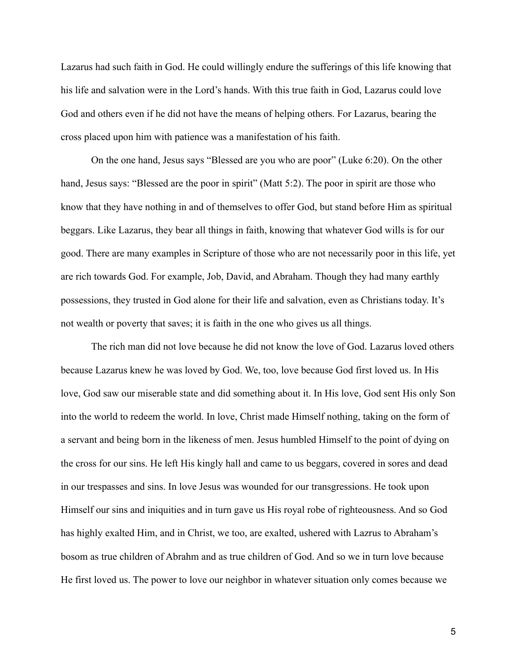Lazarus had such faith in God. He could willingly endure the sufferings of this life knowing that his life and salvation were in the Lord's hands. With this true faith in God, Lazarus could love God and others even if he did not have the means of helping others. For Lazarus, bearing the cross placed upon him with patience was a manifestation of his faith.

On the one hand, Jesus says "Blessed are you who are poor" (Luke 6:20). On the other hand, Jesus says: "Blessed are the poor in spirit" (Matt 5:2). The poor in spirit are those who know that they have nothing in and of themselves to offer God, but stand before Him as spiritual beggars. Like Lazarus, they bear all things in faith, knowing that whatever God wills is for our good. There are many examples in Scripture of those who are not necessarily poor in this life, yet are rich towards God. For example, Job, David, and Abraham. Though they had many earthly possessions, they trusted in God alone for their life and salvation, even as Christians today. It's not wealth or poverty that saves; it is faith in the one who gives us all things.

The rich man did not love because he did not know the love of God. Lazarus loved others because Lazarus knew he was loved by God. We, too, love because God first loved us. In His love, God saw our miserable state and did something about it. In His love, God sent His only Son into the world to redeem the world. In love, Christ made Himself nothing, taking on the form of a servant and being born in the likeness of men. Jesus humbled Himself to the point of dying on the cross for our sins. He left His kingly hall and came to us beggars, covered in sores and dead in our trespasses and sins. In love Jesus was wounded for our transgressions. He took upon Himself our sins and iniquities and in turn gave us His royal robe of righteousness. And so God has highly exalted Him, and in Christ, we too, are exalted, ushered with Lazrus to Abraham's bosom as true children of Abrahm and as true children of God. And so we in turn love because He first loved us. The power to love our neighbor in whatever situation only comes because we